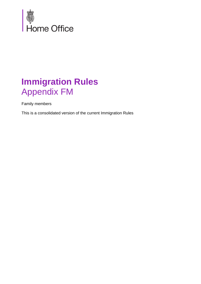

# **Immigration Rules** Appendix FM

Family members

This is a consolidated version of the current Immigration Rules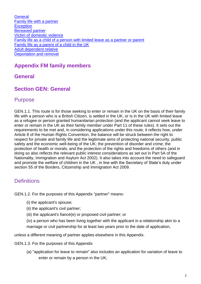**[General](#page-1-0)** [Family life with a partner](#page-3-0) **[Exception](#page-18-0)** [Bereaved partner](#page-19-0) [Victim of domestic violence](#page-21-0) [Family life as a child of a person with limited leave as a partner or parent](#page-23-0) [Family life as a parent of a child in the UK](#page-30-0) [Adult dependent relative](#page-37-0) [Deportation and removal](#page-41-0)

# <span id="page-1-1"></span>**Appendix FM family members**

<span id="page-1-0"></span>**General**

# **Section GEN: General**

#### Purpose

GEN.1.1. This route is for those seeking to enter or remain in the UK on the basis of their family life with a person who is a British Citizen, is settled in the UK, or is in the UK with limited leave as a refugee or person granted humanitarian protection (and the applicant cannot seek leave to enter or remain in the UK as their family member under Part 11 of these rules). It sets out the requirements to be met and, in considering applications under this route, it reflects how, under Article 8 of the Human Rights Convention, the balance will be struck between the right to respect for private and family life and the legitimate aims of protecting national security, public safety and the economic well-being of the UK; the prevention of disorder and crime; the protection of health or morals; and the protection of the rights and freedoms of others (and in doing so also reflects the relevant public interest considerations as set out in Part 5A of the Nationality, Immigration and Asylum Act 2002). It also takes into account the need to safeguard and promote the welfare of children in the UK , in line with the Secretary of State's duty under section 55 of the Borders, Citizenship and Immigration Act 2009.

# **Definitions**

GEN.1.2. For the purposes of this Appendix "partner" means-

- (i) the applicant's spouse;
- (ii) the applicant's civil partner;
- (iii) the applicant's fiancé(e) or proposed civil partner; or

(iv) a person who has been living together with the applicant in a relationship akin to a marriage or civil partnership for at least two years prior to the date of application,

unless a different meaning of partner applies elsewhere in this Appendix.

GEN.1.3. For the purposes of this Appendix

(a) "application for leave to remain" also includes an application for variation of leave to enter or remain by a person in the UK;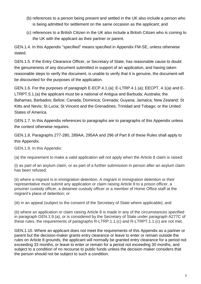- (b) references to a person being present and settled in the UK also include a person who is being admitted for settlement on the same occasion as the applicant; and
- (c) references to a British Citizen in the UK also include a British Citizen who is coming to the UK with the applicant as their partner or parent.

GEN.1.4. In this Appendix "specified" means specified in Appendix FM-SE, unless otherwise stated.

GEN.1.5. If the Entry Clearance Officer, or Secretary of State, has reasonable cause to doubt the genuineness of any document submitted in support of an application, and having taken reasonable steps to verify the document, is unable to verify that it is genuine, the document will be discounted for the purposes of the application.

GEN.1.6. For the purposes of paragraph E-ECP.4.1.(a); E-LTRP.4.1.(a); EECPT. 4.1(a) and E-LTRPT.5.1.(a) the applicant must be a national of Antigua and Barbuda; Australia; the Bahamas; Barbados; Belize; Canada; Dominica; Grenada; Guyana; Jamaica; New Zealand; St Kitts and Nevis; St Lucia; St Vincent and the Grenadines; Trinidad and Tobago; or the United States of America.

GEN.1.7. In this Appendix references to paragraphs are to paragraphs of this Appendix unless the context otherwise requires.

GEN.1.8. Paragraphs 277-280, 289AA, 295AA and 296 of Part 8 of these Rules shall apply to this Appendix.

GEN.1.9. In this Appendix:

(a) the requirement to make a valid application will not apply when the Article 8 claim is raised:

(i) as part of an asylum claim, or as part of a further submission in person after an asylum claim has been refused;

(ii) where a migrant is in immigration detention. A migrant in immigration detention or their representative must submit any application or claim raising Article 8 to a prison officer, a prisoner custody officer, a detainee custody officer or a member of Home Office staff at the migrant's place of detention; or

(iii) in an appeal (subject to the consent of the Secretary of State where applicable); and

(b) where an application or claim raising Article 8 is made in any of the circumstances specified in paragraph GEN.1.9.(a), or is considered by the Secretary of State under paragraph A277C of these rules, the requirements of paragraphs R-LTRP.1.1.(c) and R-LTRPT.1.1.(c) are not met.

GEN.1.10. Where an applicant does not meet the requirements of this Appendix as a partner or parent but the decision-maker grants entry clearance or leave to enter or remain outside the rules on Article 8 grounds, the applicant will normally be granted entry clearance for a period not exceeding 33 months, or leave to enter or remain for a period not exceeding 30 months, and subject to a condition of no recourse to public funds unless the decision-maker considers that the person should not be subject to such a condition.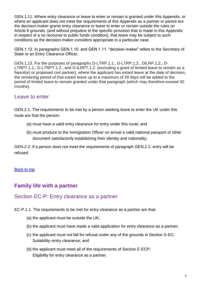GEN.1.11. Where entry clearance or leave to enter or remain is granted under this Appendix, or where an applicant does not meet the requirements of this Appendix as a partner or parent but the decision-maker grants entry clearance or leave to enter or remain outside the rules on Article 8 grounds, (and without prejudice to the specific provision that is made in this Appendix in respect of a no recourse to public funds condition), that leave may be subject to such conditions as the decision-maker considers appropriate in a particular case.

GEN.1.12. In paragraphs GEN.1.10. and GEN.1.11. "decision-maker" refers to the Secretary of State or an Entry Clearance Officer.

GEN.1.13. For the purposes of paragraphs D-LTRP.1.1., D-LTRP.1.2., DILRP.1.2., D-LTRPT.1.1., D-LTRPT.1.2., and D-ILRPT.1.2. (excluding a grant of limited leave to remain as a fiancé(e) or proposed civil partner), where the applicant has extant leave at the date of decision, the remaining period of that extant leave up to a maximum of 28 days will be added to the period of limited leave to remain granted under that paragraph (which may therefore exceed 30 months).

#### Leave to enter

GEN.2.1. The requirements to be met by a person seeking leave to enter the UK under this route are that the person-

- (a) must have a valid entry clearance for entry under this route; and
- (b) must produce to the Immigration Officer on arrival a valid national passport or other document satisfactorily establishing their identity and nationality.

GEN.2.2. If a person does not meet the requirements of paragraph GEN.2.1. entry will be refused.

#### [Back to top](#page-1-1)

# <span id="page-3-0"></span>**Family life with a partner**

# Section EC-P: Entry clearance as a partner

EC-P.1.1. The requirements to be met for entry clearance as a partner are that-

- (a) the applicant must be outside the UK;
- (b) the applicant must have made a valid application for entry clearance as a partner;
- (c) the applicant must not fall for refusal under any of the grounds in Section S-EC: Suitability–entry clearance; and
- (d) the applicant must meet all of the requirements of Section E-ECP: Eligibility for entry clearance as a partner.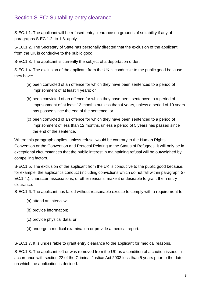# Section S-EC: Suitability-entry clearance

S-EC.1.1. The applicant will be refused entry clearance on grounds of suitability if any of paragraphs S-EC.1.2. to 1.8. apply.

S-EC.1.2. The Secretary of State has personally directed that the exclusion of the applicant from the UK is conducive to the public good.

S-EC.1.3. The applicant is currently the subject of a deportation order.

S-EC.1.4. The exclusion of the applicant from the UK is conducive to the public good because they have:

- (a) been convicted of an offence for which they have been sentenced to a period of imprisonment of at least 4 years; or
- (b) been convicted of an offence for which they have been sentenced to a period of imprisonment of at least 12 months but less than 4 years, unless a period of 10 years has passed since the end of the sentence; or
- (c) been convicted of an offence for which they have been sentenced to a period of imprisonment of less than 12 months, unless a period of 5 years has passed since the end of the sentence.

Where this paragraph applies, unless refusal would be contrary to the Human Rights Convention or the Convention and Protocol Relating to the Status of Refugees, it will only be in exceptional circumstances that the public interest in maintaining refusal will be outweighed by compelling factors.

S-EC.1.5. The exclusion of the applicant from the UK is conducive to the public good because, for example, the applicant's conduct (including convictions which do not fall within paragraph S-EC.1.4.), character, associations, or other reasons, make it undesirable to grant them entry clearance.

S-EC.1.6. The applicant has failed without reasonable excuse to comply with a requirement to-

- (a) attend an interview;
- (b) provide information;
- (c) provide physical data; or
- (d) undergo a medical examination or provide a medical report.

S-EC.1.7. It is undesirable to grant entry clearance to the applicant for medical reasons.

S-EC.1.8. The applicant left or was removed from the UK as a condition of a caution issued in accordance with section 22 of the Criminal Justice Act 2003 less than 5 years prior to the date on which the application is decided.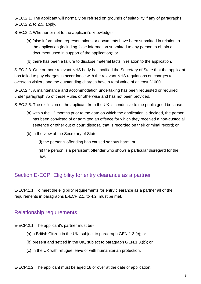S-EC.2.1. The applicant will normally be refused on grounds of suitability if any of paragraphs S-EC.2.2. to 2.5. apply.

S-EC.2.2. Whether or not to the applicant's knowledge-

- (a) false information, representations or documents have been submitted in relation to the application (including false information submitted to any person to obtain a document used in support of the application); or
- (b) there has been a failure to disclose material facts in relation to the application.

S-EC.2.3. One or more relevant NHS body has notified the Secretary of State that the applicant has failed to pay charges in accordance with the relevant NHS regulations on charges to overseas visitors and the outstanding charges have a total value of at least £1000.

S-EC.2.4. A maintenance and accommodation undertaking has been requested or required under paragraph 35 of these Rules or otherwise and has not been provided.

S-EC.2.5. The exclusion of the applicant from the UK is conducive to the public good because:

- (a) within the 12 months prior to the date on which the application is decided, the person has been convicted of or admitted an offence for which they received a non-custodial sentence or other out of court disposal that is recorded on their criminal record; or
- (b) in the view of the Secretary of State:

(i) the person's offending has caused serious harm; or

(ii) the person is a persistent offender who shows a particular disregard for the law.

# Section E-ECP: Eligibility for entry clearance as a partner

E-ECP.1.1. To meet the eligibility requirements for entry clearance as a partner all of the requirements in paragraphs E-ECP.2.1. to 4.2. must be met.

#### Relationship requirements

E-ECP.2.1. The applicant's partner must be-

- (a) a British Citizen in the UK, subject to paragraph GEN.1.3.(c); or
- (b) present and settled in the UK, subject to paragraph GEN.1.3.(b); or
- (c) in the UK with refugee leave or with humanitarian protection.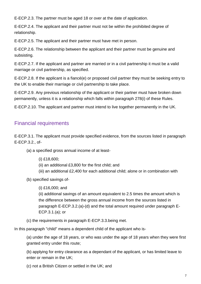E-ECP.2.3. The partner must be aged 18 or over at the date of application.

E-ECP.2.4. The applicant and their partner must not be within the prohibited degree of relationship.

E-ECP.2.5. The applicant and their partner must have met in person.

E-ECP.2.6. The relationship between the applicant and their partner must be genuine and subsisting.

E-ECP.2.7. If the applicant and partner are married or in a civil partnership it must be a valid marriage or civil partnership, as specified.

E-ECP.2.8. If the applicant is a fiancé(e) or proposed civil partner they must be seeking entry to the UK to enable their marriage or civil partnership to take place.

E-ECP.2.9. Any previous relationship of the applicant or their partner must have broken down permanently, unless it is a relationship which falls within paragraph 278(i) of these Rules.

E-ECP.2.10. The applicant and partner must intend to live together permanently in the UK.

# Financial requirements

E-ECP.3.1. The applicant must provide specified evidence, from the sources listed in paragraph E-ECP.3.2., of-

(a) a specified gross annual income of at least-

- (i) £18,600;
- (ii) an additional £3,800 for the first child; and
- (iii) an additional £2,400 for each additional child; alone or in combination with
- (b) specified savings of-
	- (i) £16,000; and

(ii) additional savings of an amount equivalent to 2.5 times the amount which is the difference between the gross annual income from the sources listed in paragraph E-ECP.3.2.(a)-(d) and the total amount required under paragraph E-ECP.3.1.(a); or

(c) the requirements in paragraph E-ECP.3.3.being met.

In this paragraph "child" means a dependent child of the applicant who is-

(a) under the age of 18 years, or who was under the age of 18 years when they were first granted entry under this route;

(b) applying for entry clearance as a dependant of the applicant, or has limited leave to enter or remain in the UK;

(c) not a British Citizen or settled in the UK; and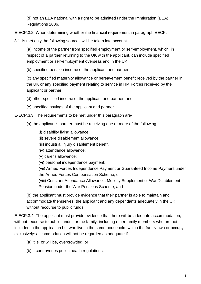(d) not an EEA national with a right to be admitted under the Immigration (EEA) Regulations 2006.

- E-ECP.3.2. When determining whether the financial requirement in paragraph EECP.
- 3.1. is met only the following sources will be taken into account-

(a) income of the partner from specified employment or self-employment, which, in respect of a partner returning to the UK with the applicant, can include specified employment or self-employment overseas and in the UK;

(b) specified pension income of the applicant and partner;

(c) any specified maternity allowance or bereavement benefit received by the partner in the UK or any specified payment relating to service in HM Forces received by the applicant or partner;

- (d) other specified income of the applicant and partner; and
- (e) specified savings of the applicant and partner.

E-ECP.3.3. The requirements to be met under this paragraph are-

- (a) the applicant's partner must be receiving one or more of the following
	- (i) disability living allowance;
	- (ii) severe disablement allowance;
	- (iii) industrial injury disablement benefit;
	- (iv) attendance allowance;
	- (v) carer's allowance;
	- (vi) personal independence payment;

(vii) Armed Forces Independence Payment or Guaranteed Income Payment under the Armed Forces Compensation Scheme; or

(viii) Constant Attendance Allowance, Mobility Supplement or War Disablement Pension under the War Pensions Scheme; and

(b) the applicant must provide evidence that their partner is able to maintain and accommodate themselves, the applicant and any dependants adequately in the UK without recourse to public funds.

E-ECP.3.4. The applicant must provide evidence that there will be adequate accommodation, without recourse to public funds, for the family, including other family members who are not included in the application but who live in the same household, which the family own or occupy exclusively: accommodation will not be regarded as adequate if-

- (a) it is, or will be, overcrowded; or
- (b) it contravenes public health regulations.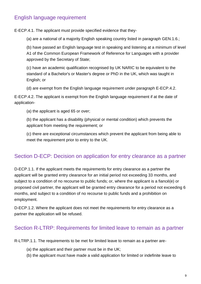# English language requirement

E-ECP.4.1. The applicant must provide specified evidence that they-

(a) are a national of a majority English speaking country listed in paragraph GEN.1.6.;

(b) have passed an English language test in speaking and listening at a minimum of level A1 of the Common European Framework of Reference for Languages with a provider approved by the Secretary of State;

(c) have an academic qualification recognised by UK NARIC to be equivalent to the standard of a Bachelor's or Master's degree or PhD in the UK, which was taught in English; or

(d) are exempt from the English language requirement under paragraph E-ECP.4.2.

E-ECP.4.2. The applicant is exempt from the English language requirement if at the date of application-

(a) the applicant is aged 65 or over;

(b) the applicant has a disability (physical or mental condition) which prevents the applicant from meeting the requirement; or

(c) there are exceptional circumstances which prevent the applicant from being able to meet the requirement prior to entry to the UK.

# Section D-ECP: Decision on application for entry clearance as a partner

D-ECP.1.1. If the applicant meets the requirements for entry clearance as a partner the applicant will be granted entry clearance for an initial period not exceeding 33 months, and subject to a condition of no recourse to public funds; or, where the applicant is a fiancé(e) or proposed civil partner, the applicant will be granted entry clearance for a period not exceeding 6 months, and subject to a condition of no recourse to public funds and a prohibition on employment.

D-ECP.1.2. Where the applicant does not meet the requirements for entry clearance as a partner the application will be refused.

# Section R-LTRP: Requirements for limited leave to remain as a partner

R-LTRP.1.1. The requirements to be met for limited leave to remain as a partner are-

- (a) the applicant and their partner must be in the UK;
- (b) the applicant must have made a valid application for limited or indefinite leave to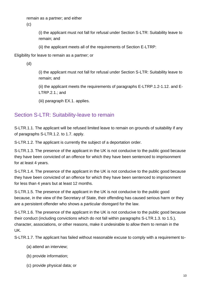remain as a partner; and either

(c)

(i) the applicant must not fall for refusal under Section S-LTR: Suitability leave to remain; and

(ii) the applicant meets all of the requirements of Section E-LTRP:

Eligibility for leave to remain as a partner; or

(d)

(i) the applicant must not fall for refusal under Section S-LTR: Suitability leave to remain; and

(ii) the applicant meets the requirements of paragraphs E-LTRP.1.2-1.12. and E-LTRP.2.1.; and

(iii) paragraph EX.1. applies.

# Section S-LTR: Suitability-leave to remain

S-LTR.1.1. The applicant will be refused limited leave to remain on grounds of suitability if any of paragraphs S-LTR.1.2. to 1.7. apply.

S-LTR.1.2. The applicant is currently the subject of a deportation order.

S-LTR.1.3. The presence of the applicant in the UK is not conducive to the public good because they have been convicted of an offence for which they have been sentenced to imprisonment for at least 4 years.

S-LTR.1.4. The presence of the applicant in the UK is not conducive to the public good because they have been convicted of an offence for which they have been sentenced to imprisonment for less than 4 years but at least 12 months.

S-LTR.1.5. The presence of the applicant in the UK is not conducive to the public good because, in the view of the Secretary of State, their offending has caused serious harm or they are a persistent offender who shows a particular disregard for the law.

S-LTR.1.6. The presence of the applicant in the UK is not conducive to the public good because their conduct (including convictions which do not fall within paragraphs S-LTR.1.3. to 1.5.), character, associations, or other reasons, make it undesirable to allow them to remain in the UK.

S-LTR.1.7. The applicant has failed without reasonable excuse to comply with a requirement to-

- (a) attend an interview;
- (b) provide information;
- (c) provide physical data; or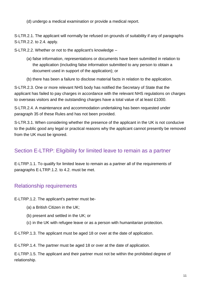(d) undergo a medical examination or provide a medical report.

S-LTR.2.1. The applicant will normally be refused on grounds of suitability if any of paragraphs S-LTR.2.2. to 2.4. apply.

S-LTR.2.2. Whether or not to the applicant's knowledge –

- (a) false information, representations or documents have been submitted in relation to the application (including false information submitted to any person to obtain a document used in support of the application); or
- (b) there has been a failure to disclose material facts in relation to the application.

S-LTR.2.3. One or more relevant NHS body has notified the Secretary of State that the applicant has failed to pay charges in accordance with the relevant NHS regulations on charges to overseas visitors and the outstanding charges have a total value of at least £1000.

S-LTR.2.4. A maintenance and accommodation undertaking has been requested under paragraph 35 of these Rules and has not been provided.

S-LTR.3.1. When considering whether the presence of the applicant in the UK is not conducive to the public good any legal or practical reasons why the applicant cannot presently be removed from the UK must be ignored.

# Section E-LTRP: Eligibility for limited leave to remain as a partner

E-LTRP.1.1. To qualify for limited leave to remain as a partner all of the requirements of paragraphs E-LTRP.1.2. to 4.2. must be met.

# Relationship requirements

E-LTRP.1.2. The applicant's partner must be-

- (a) a British Citizen in the UK;
- (b) present and settled in the UK; or
- (c) in the UK with refugee leave or as a person with humanitarian protection.

E-LTRP.1.3. The applicant must be aged 18 or over at the date of application.

E-LTRP.1.4. The partner must be aged 18 or over at the date of application.

E-LTRP.1.5. The applicant and their partner must not be within the prohibited degree of relationship.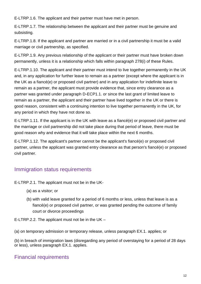E-LTRP.1.6. The applicant and their partner must have met in person.

E-LTRP.1.7. The relationship between the applicant and their partner must be genuine and subsisting.

E-LTRP.1.8. If the applicant and partner are married or in a civil partnership it must be a valid marriage or civil partnership, as specified.

E-LTRP.1.9. Any previous relationship of the applicant or their partner must have broken down permanently, unless it is a relationship which falls within paragraph 278(i) of these Rules.

E-LTRP.1.10. The applicant and their partner must intend to live together permanently in the UK and, in any application for further leave to remain as a partner (except where the applicant is in the UK as a fiancé(e) or proposed civil partner) and in any application for indefinite leave to remain as a partner, the applicant must provide evidence that, since entry clearance as a partner was granted under paragraph D-ECP1.1. or since the last grant of limited leave to remain as a partner, the applicant and their partner have lived together in the UK or there is good reason, consistent with a continuing intention to live together permanently in the UK, for any period in which they have not done so.

E-LTRP.1.11. If the applicant is in the UK with leave as a fiancé(e) or proposed civil partner and the marriage or civil partnership did not take place during that period of leave, there must be good reason why and evidence that it will take place within the next 6 months.

E-LTRP.1.12. The applicant's partner cannot be the applicant's fiancé(e) or proposed civil partner, unless the applicant was granted entry clearance as that person's fiancé(e) or proposed civil partner.

# Immigration status requirements

E-LTRP.2.1. The applicant must not be in the UK-

- (a) as a visitor; or
- (b) with valid leave granted for a period of 6 months or less, unless that leave is as a fiancé(e) or proposed civil partner, or was granted pending the outcome of family court or divorce proceedings

E-LTRP.2.2. The applicant must not be in the UK –

(a) on temporary admission or temporary release, unless paragraph EX.1. applies; or

(b) in breach of immigration laws (disregarding any period of overstaying for a period of 28 days or less), unless paragraph EX.1. applies.

# Financial requirements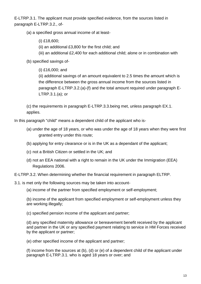E-LTRP.3.1. The applicant must provide specified evidence, from the sources listed in paragraph E-LTRP.3.2., of-

(a) a specified gross annual income of at least-

- (i) £18,600;
- (ii) an additional £3,800 for the first child; and
- (iii) an additional £2,400 for each additional child; alone or in combination with
- (b) specified savings of-
	- (i) £16,000; and

(ii) additional savings of an amount equivalent to 2.5 times the amount which is the difference between the gross annual income from the sources listed in paragraph E-LTRP.3.2.(a)-(f) and the total amount required under paragraph E-LTRP.3.1.(a); or

(c) the requirements in paragraph E-LTRP.3.3.being met, unless paragraph EX.1. applies.

In this paragraph "child" means a dependent child of the applicant who is-

- (a) under the age of 18 years, or who was under the age of 18 years when they were first granted entry under this route;
- (b) applying for entry clearance or is in the UK as a dependant of the applicant;
- (c) not a British Citizen or settled in the UK; and
- (d) not an EEA national with a right to remain in the UK under the Immigration (EEA) Regulations 2006.

E-LTRP.3.2. When determining whether the financial requirement in paragraph ELTRP.

3.1. is met only the following sources may be taken into account-

(a) income of the partner from specified employment or self-employment;

(b) income of the applicant from specified employment or self-employment unless they are working illegally;

(c) specified pension income of the applicant and partner;

(d) any specified maternity allowance or bereavement benefit received by the applicant and partner in the UK or any specified payment relating to service in HM Forces received by the applicant or partner;

(e) other specified income of the applicant and partner;

(f) income from the sources at (b), (d) or (e) of a dependent child of the applicant under paragraph E-LTRP.3.1. who is aged 18 years or over; and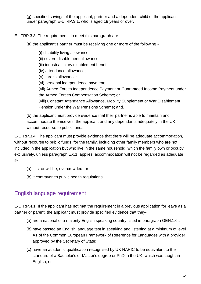(g) specified savings of the applicant, partner and a dependent child of the applicant under paragraph E-LTRP.3.1. who is aged 18 years or over.

E-LTRP.3.3. The requirements to meet this paragraph are-

- (a) the applicant's partner must be receiving one or more of the following
	- (i) disability living allowance;
	- (ii) severe disablement allowance;
	- (iii) industrial injury disablement benefit;
	- (iv) attendance allowance;
	- (v) carer's allowance;
	- (vi) personal independence payment;
	- (vii) Armed Forces Independence Payment or Guaranteed Income Payment under the Armed Forces Compensation Scheme; or
	- (viii) Constant Attendance Allowance, Mobility Supplement or War Disablement Pension under the War Pensions Scheme; and.

(b) the applicant must provide evidence that their partner is able to maintain and accommodate themselves, the applicant and any dependants adequately in the UK without recourse to public funds.

E-LTRP.3.4. The applicant must provide evidence that there will be adequate accommodation, without recourse to public funds, for the family, including other family members who are not included in the application but who live in the same household, which the family own or occupy exclusively, unless paragraph EX.1. applies: accommodation will not be regarded as adequate if-

- (a) it is, or will be, overcrowded; or
- (b) it contravenes public health regulations.

# English language requirement

E-LTRP.4.1. If the applicant has not met the requirement in a previous application for leave as a partner or parent, the applicant must provide specified evidence that they-

- (a) are a national of a majority English speaking country listed in paragraph GEN.1.6.;
- (b) have passed an English language test in speaking and listening at a minimum of level A1 of the Common European Framework of Reference for Languages with a provider approved by the Secretary of State;
- (c) have an academic qualification recognised by UK NARIC to be equivalent to the standard of a Bachelor's or Master's degree or PhD in the UK, which was taught in English; or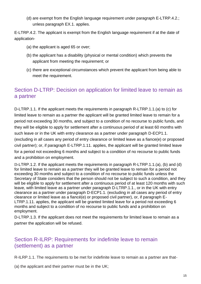(d) are exempt from the English language requirement under paragraph E-LTRP.4.2.; unless paragraph EX.1. applies.

E-LTRP.4.2. The applicant is exempt from the English language requirement if at the date of application-

- (a) the applicant is aged 65 or over;
- (b) the applicant has a disability (physical or mental condition) which prevents the applicant from meeting the requirement; or
- (c) there are exceptional circumstances which prevent the applicant from being able to meet the requirement.

# Section D-LTRP: Decision on application for limited leave to remain as a partner

D-LTRP.1.1. If the applicant meets the requirements in paragraph R-LTRP.1.1.(a) to (c) for limited leave to remain as a partner the applicant will be granted limited leave to remain for a period not exceeding 30 months, and subject to a condition of no recourse to public funds, and they will be eligible to apply for settlement after a continuous period of at least 60 months with such leave or in the UK with entry clearance as a partner under paragraph D-ECP1.1. (excluding in all cases any period of entry clearance or limited leave as a fiance(e) or proposed civil partner); or, if paragraph E-LTRP.1.11. applies, the applicant will be granted limited leave for a period not exceeding 6 months and subject to a condition of no recourse to public funds and a prohibition on employment.

D-LTRP.1.2. If the applicant meets the requirements in paragraph R-LTRP.1.1.(a), (b) and (d) for limited leave to remain as a partner they will be granted leave to remain for a period not exceeding 30 months and subject to a condition of no recourse to public funds unless the Secretary of State considers that the person should not be subject to such a condition, and they will be eligible to apply for settlement after a continuous period of at least 120 months with such leave, with limited leave as a partner under paragraph D-LTRP.1.1., or in the UK with entry clearance as a partner under paragraph D-ECP1.1. (excluding in all cases any period of entry clearance or limited leave as a fiancé(e) or proposed civil partner), or, if paragraph E-LTRP.1.11. applies, the applicant will be granted limited leave for a period not exceeding 6 months and subject to a condition of no recourse to public funds and a prohibition on employment.

D-LTRP.1.3. If the applicant does not meet the requirements for limited leave to remain as a partner the application will be refused.

# Section R-ILRP: Requirements for indefinite leave to remain (settlement) as a partner

R-ILRP.1.1. The requirements to be met for indefinite leave to remain as a partner are that-

(a) the applicant and their partner must be in the UK;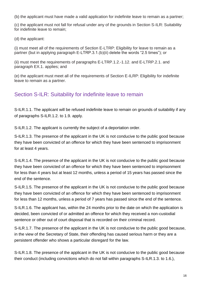(b) the applicant must have made a valid application for indefinite leave to remain as a partner;

(c) the applicant must not fall for refusal under any of the grounds in Section S-ILR: Suitability for indefinite leave to remain;

(d) the applicant:

(i) must meet all of the requirements of Section E-LTRP: Eligibility for leave to remain as a partner (but in applying paragraph E-LTRP.3.1.(b)(ii) delete the words "2.5 times"); or

(ii) must meet the requirements of paragraphs E-LTRP.1.2.-1.12. and E-LTRP.2.1. and paragraph EX.1. applies; and

(e) the applicant must meet all of the requirements of Section E-ILRP: Eligibility for indefinite leave to remain as a partner.

# Section S-ILR: Suitability for indefinite leave to remain

S-ILR.1.1. The applicant will be refused indefinite leave to remain on grounds of suitability if any of paragraphs S-ILR.1.2. to 1.9. apply.

S-ILR.1.2. The applicant is currently the subject of a deportation order.

S-ILR.1.3. The presence of the applicant in the UK is not conducive to the public good because they have been convicted of an offence for which they have been sentenced to imprisonment for at least 4 years.

S-ILR.1.4. The presence of the applicant in the UK is not conducive to the public good because they have been convicted of an offence for which they have been sentenced to imprisonment for less than 4 years but at least 12 months, unless a period of 15 years has passed since the end of the sentence.

S-ILR.1.5. The presence of the applicant in the UK is not conducive to the public good because they have been convicted of an offence for which they have been sentenced to imprisonment for less than 12 months, unless a period of 7 years has passed since the end of the sentence.

S-ILR.1.6. The applicant has, within the 24 months prior to the date on which the application is decided, been convicted of or admitted an offence for which they received a non-custodial sentence or other out of court disposal that is recorded on their criminal record.

S-ILR.1.7. The presence of the applicant in the UK is not conducive to the public good because, in the view of the Secretary of State, their offending has caused serious harm or they are a persistent offender who shows a particular disregard for the law.

S-ILR.1.8. The presence of the applicant in the UK is not conducive to the public good because their conduct (including convictions which do not fall within paragraphs S-ILR.1.3. to 1.6.),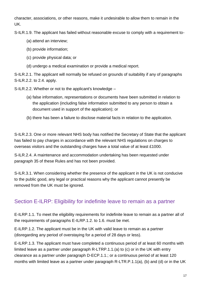character, associations, or other reasons, make it undesirable to allow them to remain in the UK.

S-ILR.1.9. The applicant has failed without reasonable excuse to comply with a requirement to-

- (a) attend an interview;
- (b) provide information;
- (c) provide physical data; or
- (d) undergo a medical examination or provide a medical report.

S-ILR.2.1. The applicant will normally be refused on grounds of suitability if any of paragraphs S-ILR.2.2. to 2.4. apply.

S-ILR.2.2. Whether or not to the applicant's knowledge –

- (a) false information, representations or documents have been submitted in relation to the application (including false information submitted to any person to obtain a document used in support of the application); or
- (b) there has been a failure to disclose material facts in relation to the application.

S-ILR.2.3. One or more relevant NHS body has notified the Secretary of State that the applicant has failed to pay charges in accordance with the relevant NHS regulations on charges to overseas visitors and the outstanding charges have a total value of at least £1000.

S-ILR.2.4. A maintenance and accommodation undertaking has been requested under paragraph 35 of these Rules and has not been provided.

S-ILR.3.1. When considering whether the presence of the applicant in the UK is not conducive to the public good, any legal or practical reasons why the applicant cannot presently be removed from the UK must be ignored.

# Section E-ILRP: Eligibility for indefinite leave to remain as a partner

E-ILRP.1.1. To meet the eligibility requirements for indefinite leave to remain as a partner all of the requirements of paragraphs E-ILRP.1.2. to 1.6. must be met.

E-ILRP.1.2. The applicant must be in the UK with valid leave to remain as a partner (disregarding any period of overstaying for a period of 28 days or less).

E-ILRP.1.3. The applicant must have completed a continuous period of at least 60 months with limited leave as a partner under paragraph R-LTRP.1.1.(a) to (c) or in the UK with entry clearance as a partner under paragraph D-ECP.1.1.; or a continuous period of at least 120 months with limited leave as a partner under paragraph R-LTR.P.1.1(a), (b) and (d) or in the UK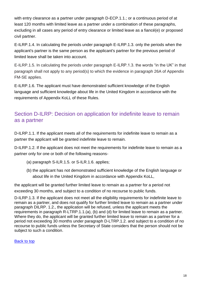with entry clearance as a partner under paragraph D-ECP.1.1.; or a continuous period of at least 120 months with limited leave as a partner under a combination of these paragraphs, excluding in all cases any period of entry clearance or limited leave as a fiancé(e) or proposed civil partner.

E-ILRP.1.4. In calculating the periods under paragraph E-ILRP.1.3. only the periods when the applicant's partner is the same person as the applicant's partner for the previous period of limited leave shall be taken into account.

E-ILRP.1.5. In calculating the periods under paragraph E-ILRP.1.3. the words "in the UK" in that paragraph shall not apply to any period(s) to which the evidence in paragraph 26A of Appendix FM-SE applies.

E-ILRP.1.6. The applicant must have demonstrated sufficient knowledge of the English language and sufficient knowledge about life in the United Kingdom in accordance with the requirements of Appendix KoLL of these Rules.

# Section D-ILRP: Decision on application for indefinite leave to remain as a partner

D-ILRP.1.1. If the applicant meets all of the requirements for indefinite leave to remain as a partner the applicant will be granted indefinite leave to remain.

D-ILRP.1.2. If the applicant does not meet the requirements for indefinite leave to remain as a partner only for one or both of the following reasons-

- (a) paragraph S-ILR.1.5. or S-ILR.1.6. applies;
- (b) the applicant has not demonstrated sufficient knowledge of the English language or about life in the United Kingdom in accordance with Appendix KoLL,

the applicant will be granted further limited leave to remain as a partner for a period not exceeding 30 months, and subject to a condition of no recourse to public funds.

D-ILRP.1.3. If the applicant does not meet all the eligibility requirements for indefinite leave to remain as a partner, and does not qualify for further limited leave to remain as a partner under paragraph DILRP. 1.2., the application will be refused, unless the applicant meets the requirements in paragraph R-LTRP.1.1.(a), (b) and (d) for limited leave to remain as a partner. Where they do, the applicant will be granted further limited leave to remain as a partner for a period not exceeding 30 months under paragraph D-LTRP.1.2. and subject to a condition of no recourse to public funds unless the Secretary of State considers that the person should not be subject to such a condition.

#### [Back to top](#page-1-1)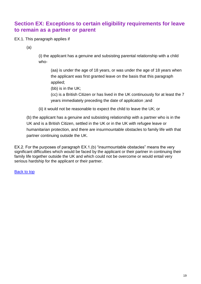#### <span id="page-18-0"></span>**Section EX: Exceptions to certain eligibility requirements for leave to remain as a partner or parent**

EX.1. This paragraph applies if

(a)

(i) the applicant has a genuine and subsisting parental relationship with a child who-

(aa) is under the age of 18 years, or was under the age of 18 years when the applicant was first granted leave on the basis that this paragraph applied;

(bb) is in the UK;

(cc) is a British Citizen or has lived in the UK continuously for at least the 7 years immediately preceding the date of application ;and

(ii) it would not be reasonable to expect the child to leave the UK; or

(b) the applicant has a genuine and subsisting relationship with a partner who is in the UK and is a British Citizen, settled in the UK or in the UK with refugee leave or humanitarian protection, and there are insurmountable obstacles to family life with that partner continuing outside the UK.

EX.2. For the purposes of paragraph EX.1.(b) "insurmountable obstacles" means the very significant difficulties which would be faced by the applicant or their partner in continuing their family life together outside the UK and which could not be overcome or would entail very serious hardship for the applicant or their partner.

[Back to top](#page-1-1)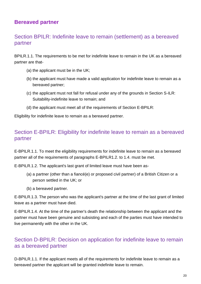# <span id="page-19-0"></span>**Bereaved partner**

#### Section BPILR: Indefinite leave to remain (settlement) as a bereaved partner

BPILR.1.1. The requirements to be met for indefinite leave to remain in the UK as a bereaved partner are that-

- (a) the applicant must be in the UK;
- (b) the applicant must have made a valid application for indefinite leave to remain as a bereaved partner;
- (c) the applicant must not fall for refusal under any of the grounds in Section S-ILR: Suitability-indefinite leave to remain; and
- (d) the applicant must meet all of the requirements of Section E-BPILR:

Eligibility for indefinite leave to remain as a bereaved partner.

# Section E-BPILR: Eligibility for indefinite leave to remain as a bereaved partner

E-BPILR.1.1. To meet the eligibility requirements for indefinite leave to remain as a bereaved partner all of the requirements of paragraphs E-BPILR1.2. to 1.4. must be met.

E-BPILR.1.2. The applicant's last grant of limited leave must have been as-

- (a) a partner (other than a fiancé(e) or proposed civil partner) of a British Citizen or a person settled in the UK; or
- (b) a bereaved partner.

E-BPILR.1.3. The person who was the applicant's partner at the time of the last grant of limited leave as a partner must have died.

E-BPILR.1.4. At the time of the partner's death the relationship between the applicant and the partner must have been genuine and subsisting and each of the parties must have intended to live permanently with the other in the UK.

# Section D-BPILR: Decision on application for indefinite leave to remain as a bereaved partner

D-BPILR.1.1. If the applicant meets all of the requirements for indefinite leave to remain as a bereaved partner the applicant will be granted indefinite leave to remain.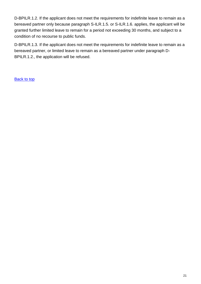D-BPILR.1.2. If the applicant does not meet the requirements for indefinite leave to remain as a bereaved partner only because paragraph S-ILR.1.5. or S-ILR.1.6. applies, the applicant will be granted further limited leave to remain for a period not exceeding 30 months, and subject to a condition of no recourse to public funds.

D-BPILR.1.3. If the applicant does not meet the requirements for indefinite leave to remain as a bereaved partner, or limited leave to remain as a bereaved partner under paragraph D-BPILR.1.2., the application will be refused.

**[Back to top](#page-1-1)**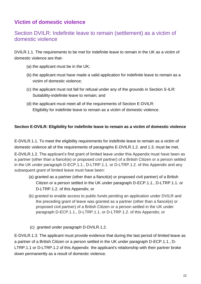# <span id="page-21-0"></span>**Victim of domestic violence**

#### Section DVILR: Indefinite leave to remain (settlement) as a victim of domestic violence

DVILR.1.1. The requirements to be met for indefinite leave to remain in the UK as a victim of domestic violence are that-

- (a) the applicant must be in the UK;
- (b) the applicant must have made a valid application for indefinite leave to remain as a victim of domestic violence;
- (c) the applicant must not fall for refusal under any of the grounds in Section S-ILR: Suitability-indefinite leave to remain; and
- (d) the applicant must meet all of the requirements of Section E-DVILR: Eligibility for indefinite leave to remain as a victim of domestic violence.

#### **Section E-DVILR: Eligibility for indefinite leave to remain as a victim of domestic violence**

E-DVILR.1.1. To meet the eligibility requirements for indefinite leave to remain as a victim of domestic violence all of the requirements of paragraphs E-DVILR.1.2. and 1.3. must be met.

E-DVILR.1.2. The applicant's first grant of limited leave under this Appendix must have been as a partner (other than a fiancé(e) or proposed civil partner) of a British Citizen or a person settled in the UK under paragraph D-ECP.1.1., D-LTRP.1.1. or D-LTRP.1.2. of this Appendix and any subsequent grant of limited leave must have been:

- (a) granted as a partner (other than a fiancé(e) or proposed civil partner) of a British Citizen or a person settled in the UK under paragraph D-ECP.1.1., D-LTRP.1.1. or D-LTRP.1.2. of this Appendix; or
- (b) granted to enable access to public funds pending an application under DVILR and the preceding grant of leave was granted as a partner (other than a fiancé(e) or proposed civil partner) of a British Citizen or a person settled in the UK under paragraph D-ECP.1.1., D-LTRP.1.1. or D-LTRP.1.2. of this Appendix; or
- (c) granted under paragraph D-DVILR.1.2.

E-DVILR.1.3. The applicant must provide evidence that during the last period of limited leave as a partner of a British Citizen or a person settled in the UK under paragraph D-ECP.1.1., D-LTRP.1.1 or D-LTRP.1.2 of this Appendix the applicant's relationship with their partner broke down permanently as a result of domestic violence.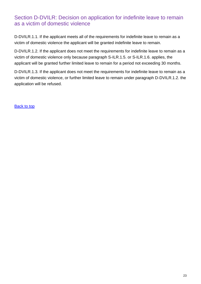# Section D-DVILR: Decision on application for indefinite leave to remain as a victim of domestic violence

D-DVILR.1.1. If the applicant meets all of the requirements for indefinite leave to remain as a victim of domestic violence the applicant will be granted indefinite leave to remain.

D-DVILR.1.2. If the applicant does not meet the requirements for indefinite leave to remain as a victim of domestic violence only because paragraph S-ILR.1.5. or S-ILR.1.6. applies, the applicant will be granted further limited leave to remain for a period not exceeding 30 months.

D-DVILR.1.3. If the applicant does not meet the requirements for indefinite leave to remain as a victim of domestic violence, or further limited leave to remain under paragraph D-DVILR.1.2. the application will be refused.

[Back to top](#page-1-1)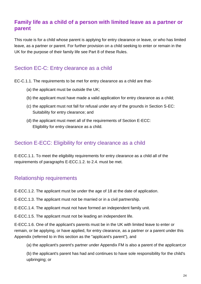#### <span id="page-23-0"></span>**Family life as a child of a person with limited leave as a partner or parent**

This route is for a child whose parent is applying for entry clearance or leave, or who has limited leave, as a partner or parent. For further provision on a child seeking to enter or remain in the UK for the purpose of their family life see Part 8 of these Rules.

# Section EC-C: Entry clearance as a child

EC-C.1.1. The requirements to be met for entry clearance as a child are that-

- (a) the applicant must be outside the UK;
- (b) the applicant must have made a valid application for entry clearance as a child;
- (c) the applicant must not fall for refusal under any of the grounds in Section S-EC: Suitability for entry clearance; and
- (d) the applicant must meet all of the requirements of Section E-ECC: Eligibility for entry clearance as a child.

#### Section E-ECC: Eligibility for entry clearance as a child

E-ECC.1.1. To meet the eligibility requirements for entry clearance as a child all of the requirements of paragraphs E-ECC.1.2. to 2.4. must be met.

#### Relationship requirements

- E-ECC.1.2. The applicant must be under the age of 18 at the date of application.
- E-ECC.1.3. The applicant must not be married or in a civil partnership.
- E-ECC.1.4. The applicant must not have formed an independent family unit.
- E-ECC.1.5. The applicant must not be leading an independent life.

E-ECC.1.6. One of the applicant's parents must be in the UK with limited leave to enter or remain, or be applying, or have applied, for entry clearance, as a partner or a parent under this Appendix (referred to in this section as the "applicant's parent"), and

(a) the applicant's parent's partner under Appendix FM is also a parent of the applicant;or

(b) the applicant's parent has had and continues to have sole responsibility for the child's upbringing; or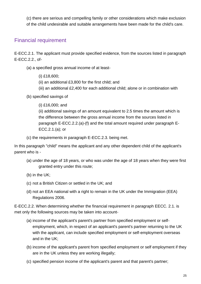(c) there are serious and compelling family or other considerations which make exclusion of the child undesirable and suitable arrangements have been made for the child's care.

#### Financial requirement

E-ECC.2.1. The applicant must provide specified evidence, from the sources listed in paragraph E-ECC.2.2., of-

- (a) a specified gross annual income of at least-
	- (i) £18,600;
	- (ii) an additional £3,800 for the first child; and
	- (iii) an additional £2,400 for each additional child; alone or in combination with
- (b) specified savings of
	- (i) £16,000; and

(ii) additional savings of an amount equivalent to 2.5 times the amount which is the difference between the gross annual income from the sources listed in paragraph E-ECC.2.2.(a)-(f) and the total amount required under paragraph E-ECC.2.1.(a); or

(c) the requirements in paragraph E-ECC.2.3. being met.

In this paragraph "child" means the applicant and any other dependent child of the applicant's parent who is -

- (a) under the age of 18 years, or who was under the age of 18 years when they were first granted entry under this route;
- (b) in the UK;
- (c) not a British Citizen or settled in the UK; and
- (d) not an EEA national with a right to remain in the UK under the Immigration (EEA) Regulations 2006.

E-ECC.2.2. When determining whether the financial requirement in paragraph EECC. 2.1. is met only the following sources may be taken into account-

- (a) income of the applicant's parent's partner from specified employment or selfemployment, which, in respect of an applicant's parent's partner returning to the UK with the applicant, can include specified employment or self-employment overseas and in the UK;
- (b) income of the applicant's parent from specified employment or self employment if they are in the UK unless they are working illegally;
- (c) specified pension income of the applicant's parent and that parent's partner;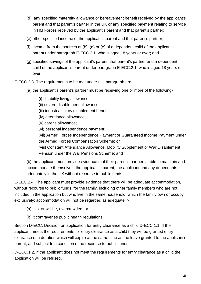- (d) any specified maternity allowance or bereavement benefit received by the applicant's parent and that parent's partner in the UK or any specified payment relating to service in HM Forces received by the applicant's parent and that parent's partner;
- (e) other specified income of the applicant's parent and that parent's partner;
- (f) income from the sources at (b), (d) or (e) of a dependent child of the applicant's parent under paragraph E-ECC.2.1. who is aged 18 years or over; and
- (g) specified savings of the applicant's parent, that parent's partner and a dependent child of the applicant's parent under paragraph E-ECC.2.1. who is aged 18 years or over.

E-ECC.2.3. The requirements to be met under this paragraph are-

- (a) the applicant's parent's partner must be receiving one or more of the following-
	- (i) disability living allowance;
	- (ii) severe disablement allowance;
	- (iii) industrial injury disablement benefit;
	- (iv) attendance allowance;
	- (v) carer's allowance;
	- (vi) personal independence payment;
	- (vii) Armed Forces Independence Payment or Guaranteed Income Payment under
	- the Armed Forces Compensation Scheme; or
	- (viii) Constant Attendance Allowance, Mobility Supplement or War Disablement Pension under the War Pensions Scheme; and

(b) the applicant must provide evidence that their parent's partner is able to maintain and accommodate themselves, the applicant's parent, the applicant and any dependants adequately in the UK without recourse to public funds.

E-EEC.2.4. The applicant must provide evidence that there will be adequate accommodation, without recourse to public funds, for the family, including other family members who are not included in the application but who live in the same household, which the family own or occupy exclusively: accommodation will not be regarded as adequate if-

- (a) it is, or will be, overcrowded; or
- (b) it contravenes public health regulations.

Section D-ECC: Decision on application for entry clearance as a child D-ECC.1.1. If the applicant meets the requirements for entry clearance as a child they will be granted entry clearance of a duration which will expire at the same time as the leave granted to the applicant's parent, and subject to a condition of no recourse to public funds.

D-ECC.1.2. If the applicant does not meet the requirements for entry clearance as a child the application will be refused.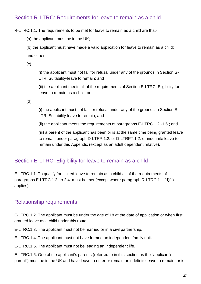# Section R-LTRC: Requirements for leave to remain as a child

R-LTRC.1.1. The requirements to be met for leave to remain as a child are that-

(a) the applicant must be in the UK;

(b) the applicant must have made a valid application for leave to remain as a child; and either

(c)

(i) the applicant must not fall for refusal under any of the grounds in Section S-LTR: Suitability-leave to remain; and

(ii) the applicant meets all of the requirements of Section E-LTRC: Eligibility for leave to remain as a child; or

(d)

(i) the applicant must not fall for refusal under any of the grounds in Section S-LTR: Suitability-leave to remain; and

(ii) the applicant meets the requirements of paragraphs E-LTRC.1.2.-1.6.; and

(iii) a parent of the applicant has been or is at the same time being granted leave to remain under paragraph D-LTRP.1.2. or D-LTRPT.1.2. or indefinite leave to remain under this Appendix (except as an adult dependent relative).

# Section E-LTRC: Eligibility for leave to remain as a child

E-LTRC.1.1. To qualify for limited leave to remain as a child all of the requirements of paragraphs E-LTRC.1.2. to 2.4. must be met (except where paragraph R-LTRC.1.1.(d)(ii) applies).

#### Relationship requirements

E-LTRC.1.2. The applicant must be under the age of 18 at the date of application or when first granted leave as a child under this route.

E-LTRC.1.3. The applicant must not be married or in a civil partnership.

E-LTRC.1.4. The applicant must not have formed an independent family unit.

E-LTRC.1.5. The applicant must not be leading an independent life.

E-LTRC.1.6. One of the applicant's parents (referred to in this section as the "applicant's parent") must be in the UK and have leave to enter or remain or indefinite leave to remain, or is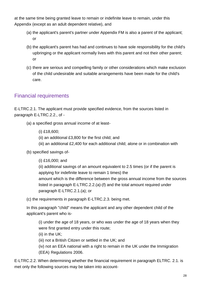at the same time being granted leave to remain or indefinite leave to remain, under this Appendix (except as an adult dependent relative), and

- (a) the applicant's parent's partner under Appendix FM is also a parent of the applicant; or
- (b) the applicant's parent has had and continues to have sole responsibility for the child's upbringing or the applicant normally lives with this parent and not their other parent; or
- (c) there are serious and compelling family or other considerations which make exclusion of the child undesirable and suitable arrangements have been made for the child's care.

# Financial requirements

E-LTRC.2.1. The applicant must provide specified evidence, from the sources listed in paragraph E-LTRC.2.2., of -

(a) a specified gross annual income of at least-

- (i) £18,600;
- (ii) an additional £3,800 for the first child; and
- (iii) an additional £2,400 for each additional child; alone or in combination with
- (b) specified savings of-

(i) £16,000; and

(ii) additional savings of an amount equivalent to 2.5 times (or if the parent is applying for indefinite leave to remain 1 times) the amount which is the difference between the gross annual income from the sources listed in paragraph E-LTRC.2.2.(a)-(f) and the total amount required under paragraph E-LTRC.2.1.(a); or

(c) the requirements in paragraph E-LTRC.2.3. being met.

In this paragraph "child" means the applicant and any other dependent child of the applicant's parent who is-

(i) under the age of 18 years, or who was under the age of 18 years when they were first granted entry under this route;

(ii) in the UK;

(iii) not a British Citizen or settled in the UK; and

(iv) not an EEA national with a right to remain in the UK under the Immigration (EEA) Regulations 2006.

E-LTRC.2.2. When determining whether the financial requirement in paragraph ELTRC. 2.1. is met only the following sources may be taken into account-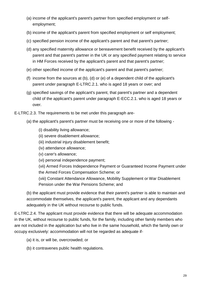- (a) income of the applicant's parent's partner from specified employment or selfemployment;
- (b) income of the applicant's parent from specified employment or self employment;
- (c) specified pension income of the applicant's parent and that parent's partner;
- (d) any specified maternity allowance or bereavement benefit received by the applicant's parent and that parent's partner in the UK or any specified payment relating to service in HM Forces received by the applicant's parent and that parent's partner;
- (e) other specified income of the applicant's parent and that parent's partner;
- (f) income from the sources at (b), (d) or (e) of a dependent child of the applicant's parent under paragraph E-LTRC.2.1. who is aged 18 years or over; and
- (g) specified savings of the applicant's parent, that parent's partner and a dependent child of the applicant's parent under paragraph E-ECC.2.1. who is aged 18 years or over.
- E-LTRC.2.3. The requirements to be met under this paragraph are-
	- (a) the applicant's parent's partner must be receiving one or more of the following
		- (i) disability living allowance;
		- (ii) severe disablement allowance;
		- (iii) industrial injury disablement benefit;
		- (iv) attendance allowance;
		- (v) carer's allowance;
		- (vi) personal independence payment;

(vii) Armed Forces Independence Payment or Guaranteed Income Payment under the Armed Forces Compensation Scheme; or

(viii) Constant Attendance Allowance, Mobility Supplement or War Disablement Pension under the War Pensions Scheme; and

(b) the applicant must provide evidence that their parent's partner is able to maintain and accommodate themselves, the applicant's parent, the applicant and any dependants adequately in the UK without recourse to public funds.

E-LTRC.2.4. The applicant must provide evidence that there will be adequate accommodation in the UK, without recourse to public funds, for the family, including other family members who are not included in the application but who live in the same household, which the family own or occupy exclusively: accommodation will not be regarded as adequate if-

- (a) it is, or will be, overcrowded; or
- (b) it contravenes public health regulations.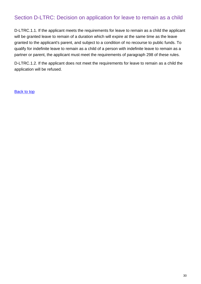# Section D-LTRC: Decision on application for leave to remain as a child

D-LTRC.1.1. If the applicant meets the requirements for leave to remain as a child the applicant will be granted leave to remain of a duration which will expire at the same time as the leave granted to the applicant's parent, and subject to a condition of no recourse to public funds. To qualify for indefinite leave to remain as a child of a person with indefinite leave to remain as a partner or parent, the applicant must meet the requirements of paragraph 298 of these rules.

D-LTRC.1.2. If the applicant does not meet the requirements for leave to remain as a child the application will be refused.

[Back to top](#page-1-1)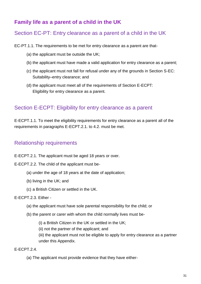# <span id="page-30-0"></span>**Family life as a parent of a child in the UK**

# Section EC-PT: Entry clearance as a parent of a child in the UK

EC-PT.1.1. The requirements to be met for entry clearance as a parent are that-

- (a) the applicant must be outside the UK;
- (b) the applicant must have made a valid application for entry clearance as a parent;
- (c) the applicant must not fall for refusal under any of the grounds in Section S-EC: Suitability–entry clearance; and
- (d) the applicant must meet all of the requirements of Section E-ECPT: Eligibility for entry clearance as a parent.

#### Section E-ECPT: Eligibility for entry clearance as a parent

E-ECPT.1.1. To meet the eligibility requirements for entry clearance as a parent all of the requirements in paragraphs E-ECPT.2.1. to 4.2. must be met.

#### Relationship requirements

- E-ECPT.2.1. The applicant must be aged 18 years or over.
- E-ECPT.2.2. The child of the applicant must be-
	- (a) under the age of 18 years at the date of application;
	- (b) living in the UK; and
	- (c) a British Citizen or settled in the UK.

#### E-ECPT.2.3. Either -

- (a) the applicant must have sole parental responsibility for the child; or
- (b) the parent or carer with whom the child normally lives must be-
	- (i) a British Citizen in the UK or settled in the UK;
	- (ii) not the partner of the applicant; and
	- (iii) the applicant must not be eligible to apply for entry clearance as a partner under this Appendix.

E-ECPT.2.4.

(a) The applicant must provide evidence that they have either-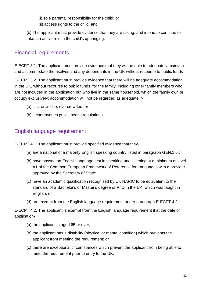(i) sole parental responsibility for the child; or

(ii) access rights to the child; and

(b) The applicant must provide evidence that they are taking, and intend to continue to take, an active role in the child's upbringing.

# Financial requirements

E-ECPT.3.1. The applicant must provide evidence that they will be able to adequately maintain and accommodate themselves and any dependants in the UK without recourse to public funds

E-ECPT.3.2. The applicant must provide evidence that there will be adequate accommodation in the UK, without recourse to public funds, for the family, including other family members who are not included in the application but who live in the same household, which the family own or occupy exclusively: accommodation will not be regarded as adequate if-

- (a) it is, or will be, overcrowded; or
- (b) it contravenes public health regulations.

# English language requirement

E-ECPT.4.1. The applicant must provide specified evidence that they-

- (a) are a national of a majority English speaking country listed in paragraph GEN.1.6.;
- (b) have passed an English language test in speaking and listening at a minimum of level A1 of the Common European Framework of Reference for Languages with a provider approved by the Secretary of State;
- (c) have an academic qualification recognised by UK NARIC to be equivalent to the standard of a Bachelor's or Master's degree or PhD in the UK, which was taught in English; or
- (d) are exempt from the English language requirement under paragraph E-ECPT.4.2.

E-ECPT.4.2. The applicant is exempt from the English language requirement if at the date of application-

- (a) the applicant is aged 65 or over;
- (b) the applicant has a disability (physical or mental condition) which prevents the applicant from meeting the requirement; or
- (c) there are exceptional circumstances which prevent the applicant from being able to meet the requirement prior to entry to the UK.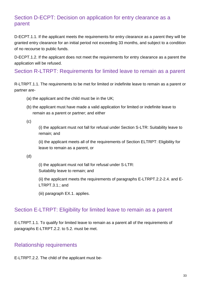# Section D-ECPT: Decision on application for entry clearance as a parent

D-ECPT.1.1. If the applicant meets the requirements for entry clearance as a parent they will be granted entry clearance for an initial period not exceeding 33 months, and subject to a condition of no recourse to public funds.

D-ECPT.1.2. If the applicant does not meet the requirements for entry clearance as a parent the application will be refused.

Section R-LTRPT: Requirements for limited leave to remain as a parent

R-LTRPT.1.1. The requirements to be met for limited or indefinite leave to remain as a parent or partner are-

- (a) the applicant and the child must be in the UK;
- (b) the applicant must have made a valid application for limited or indefinite leave to remain as a parent or partner; and either
- (c)

(i) the applicant must not fall for refusal under Section S-LTR: Suitability leave to remain; and

(ii) the applicant meets all of the requirements of Section ELTRPT: Eligibility for leave to remain as a parent, or

(d)

(i) the applicant must not fall for refusal under S-LTR: Suitability leave to remain; and

(ii) the applicant meets the requirements of paragraphs E-LTRPT.2.2-2.4. and E-LTRPT.3.1.; and

(iii) paragraph EX.1. applies.

# Section E-LTRPT: Eligibility for limited leave to remain as a parent

E-LTRPT.1.1. To qualify for limited leave to remain as a parent all of the requirements of paragraphs E-LTRPT.2.2. to 5.2. must be met.

# Relationship requirements

E-LTRPT.2.2. The child of the applicant must be-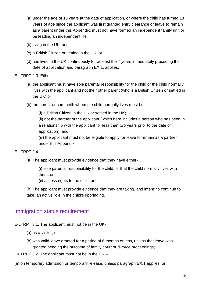- (a) under the age of 18 years at the date of application, or where the child has turned 18 years of age since the applicant was first granted entry clearance or leave to remain as a parent under this Appendix, must not have formed an independent family unit or be leading an independent life;
- (b) living in the UK; and
- (c) a British Citizen or settled in the UK; or
- (d) has lived in the UK continuously for at least the 7 years immediately preceding the date of application and paragraph EX.1. applies.

#### E-LTRPT.2.3. Either-

- (a) the applicant must have sole parental responsibility for the child or the child normally lives with the applicant and not their other parent (who is a British Citizen or settled in the UK);or
- (b) the parent or carer with whom the child normally lives must be-

(i) a British Citizen in the UK or settled in the UK;

(ii) not the partner of the applicant (which here includes a person who has been in a relationship with the applicant for less than two years prior to the date of application); and

(iii) the applicant must not be eligible to apply for leave to remain as a partner under this Appendix.

#### E-LTRPT.2.4.

(a) The applicant must provide evidence that they have either-

(i) sole parental responsibility for the child, or that the child normally lives with them; or

(ii) access rights to the child; and

(b) The applicant must provide evidence that they are taking, and intend to continue to take, an active role in the child's upbringing.

#### Immigration status requirement

E-LTRPT.3.1. The applicant must not be in the UK-

- (a) as a visitor; or
- (b) with valid leave granted for a period of 6 months or less, unless that leave was granted pending the outcome of family court or divorce proceedings;
- E-LTRPT.3.2. The applicant must not be in the UK –
- (a) on temporary admission or temporary release, unless paragraph EX.1.applies; or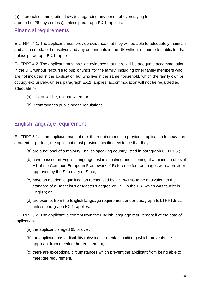(b) in breach of immigration laws (disregarding any period of overstaying for a period of 28 days or less), unless paragraph EX.1. applies.

# Financial requirements

E-LTRPT.4.1. The applicant must provide evidence that they will be able to adequately maintain and accommodate themselves and any dependants in the UK without recourse to public funds, unless paragraph EX.1. applies.

E-LTRPT.4.2. The applicant must provide evidence that there will be adequate accommodation in the UK, without recourse to public funds, for the family, including other family members who are not included in the application but who live in the same household, which the family own or occupy exclusively, unless paragraph EX.1. applies: accommodation will not be regarded as adequate if-

- (a) it is, or will be, overcrowded; or
- (b) it contravenes public health regulations.

# English language requirement

E-LTRPT.5.1. If the applicant has not met the requirement in a previous application for leave as a parent or partner, the applicant must provide specified evidence that they-

- (a) are a national of a majority English speaking country listed in paragraph GEN.1.6.;
- (b) have passed an English language test in speaking and listening at a minimum of level A1 of the Common European Framework of Reference for Languages with a provider approved by the Secretary of State;
- (c) have an academic qualification recognised by UK NARIC to be equivalent to the standard of a Bachelor's or Master's degree or PhD in the UK, which was taught in English; or
- (d) are exempt from the English language requirement under paragraph E-LTRPT.5.2.; unless paragraph EX.1. applies.

E-LTRPT.5.2. The applicant is exempt from the English language requirement if at the date of application-

- (a) the applicant is aged 65 or over;
- (b) the applicant has a disability (physical or mental condition) which prevents the applicant from meeting the requirement; or
- (c) there are exceptional circumstances which prevent the applicant from being able to meet the requirement.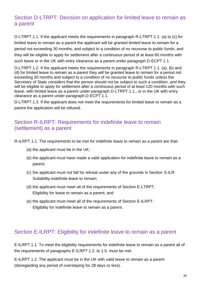# Section D-LTRPT: Decision on application for limited leave to remain as a parent

D-LTRPT.1.1. If the applicant meets the requirements in paragraph R-LTRPT.1.1. (a) to (c) for limited leave to remain as a parent the applicant will be granted limited leave to remain for a period not exceeding 30 months, and subject to a condition of no recourse to public funds, and they will be eligible to apply for settlement after a continuous period of at least 60 months with such leave or in the UK with entry clearance as a parent under paragraph D-ECPT.1.1.

D-LTRPT.1.2. If the applicant meets the requirements in paragraph R-LTRPT.1.1. (a), (b) and (d) for limited leave to remain as a parent they will be granted leave to remain for a period not exceeding 30 months and subject to a condition of no recourse to public funds unless the Secretary of State considers that the person should not be subject to such a condition, and they will be eligible to apply for settlement after a continuous period of at least 120 months with such leave, with limited leave as a parent under paragraph D-LTRPT.1.1., or in the UK with entry clearance as a parent under paragraph D-ECPT.1.1.

D-LTRPT.1.3. If the applicant does not meet the requirements for limited leave to remain as a parent the application will be refused.

# Section R-ILRPT: Requirements for indefinite leave to remain (settlement) as a parent

R-ILRPT.1.1. The requirements to be met for indefinite leave to remain as a parent are that-

- (a) the applicant must be in the UK;
- (b) the applicant must have made a valid application for indefinite leave to remain as a parent;
- (c) the applicant must not fall for refusal under any of the grounds in Section S-ILR: Suitability-indefinite leave to remain;
- (d) the applicant must meet all of the requirements of Section E-LTRPT: Eligibility for leave to remain as a parent; and
- (e) the applicant must meet all of the requirements of Section E-ILRPT: Eligibility for indefinite leave to remain as a parent.

# Section E-ILRPT: Eligibility for indefinite leave to remain as a parent

E-ILRPT.1.1. To meet the eligibility requirements for indefinite leave to remain as a parent all of the requirements of paragraphs E-ILRPT.1.2. to 1.5. must be met.

E-ILRPT.1.2. The applicant must be in the UK with valid leave to remain as a parent (disregarding any period of overstaying for 28 days or less).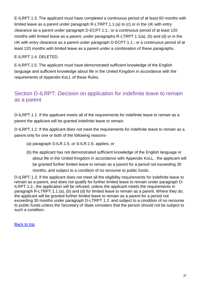E-ILRPT.1.3. The applicant must have completed a continuous period of at least 60 months with limited leave as a parent under paragraph R-LTRPT.1.1.(a) to (c) or in the UK with entry clearance as a parent under paragraph D-ECPT.1.1.; or a continuous period of at least 120 months with limited leave as a parent, under paragraphs R-LTRPT.1.1(a), (b) and (d) or in the UK with entry clearance as a parent under paragraph D-ECPT.1.1.; or a continuous period of at least 120 months with limited leave as a parent under a combination of these paragraphs.

#### E-ILRPT.1.4. DELETED.

E-ILRPT.1.5. The applicant must have demonstrated sufficient knowledge of the English language and sufficient knowledge about life in the United Kingdom in accordance with the requirements of Appendix KoLL of these Rules.

# Section D-ILRPT: Decision on application for indefinite leave to remain as a parent

D-ILRPT.1.1. If the applicant meets all of the requirements for indefinite leave to remain as a parent the applicant will be granted indefinite leave to remain.

D-ILRPT.1.2. If the applicant does not meet the requirements for indefinite leave to remain as a parent only for one or both of the following reasons-

- (a) paragraph S-ILR.1.5. or S-ILR.1.6. applies; or
- (b) the applicant has not demonstrated sufficient knowledge of the English language or about life in the United Kingdom in accordance with Appendix KoLL, the applicant will be granted further limited leave to remain as a parent for a period not exceeding 30 months, and subject to a condition of no recourse to public funds.

D-ILRPT.1.3. If the applicant does not meet all the eligibility requirements for indefinite leave to remain as a parent, and does not qualify for further limited leave to remain under paragraph D-ILRPT.1.2., the application will be refused, unless the applicant meets the requirements in paragraph R-LTRPT.1.1.(a), (b) and (d) for limited leave to remain as a parent. Where they do, the applicant will be granted further limited leave to remain as a parent for a period not exceeding 30 months under paragraph D-LTRPT.1.2. and subject to a condition of no recourse to public funds unless the Secretary of State considers that the person should not be subject to such a condition.

#### [Back to top](#page-1-1)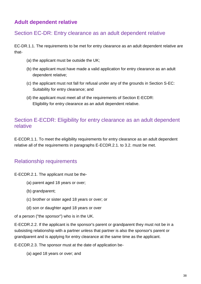# <span id="page-37-0"></span>**Adult dependent relative**

# Section EC-DR: Entry clearance as an adult dependent relative

EC-DR.1.1. The requirements to be met for entry clearance as an adult dependent relative are that-

- (a) the applicant must be outside the UK;
- (b) the applicant must have made a valid application for entry clearance as an adult dependent relative;
- (c) the applicant must not fall for refusal under any of the grounds in Section S-EC: Suitability for entry clearance; and
- (d) the applicant must meet all of the requirements of Section E-ECDR: Eligibility for entry clearance as an adult dependent relative.

# Section E-ECDR: Eligibility for entry clearance as an adult dependent relative

E-ECDR.1.1. To meet the eligibility requirements for entry clearance as an adult dependent relative all of the requirements in paragraphs E-ECDR.2.1. to 3.2. must be met.

# Relationship requirements

E-ECDR.2.1. The applicant must be the-

- (a) parent aged 18 years or over;
- (b) grandparent;
- (c) brother or sister aged 18 years or over; or
- (d) son or daughter aged 18 years or over

of a person ("the sponsor") who is in the UK.

E-ECDR.2.2. If the applicant is the sponsor's parent or grandparent they must not be in a subsisting relationship with a partner unless that partner is also the sponsor's parent or grandparent and is applying for entry clearance at the same time as the applicant.

E-ECDR.2.3. The sponsor must at the date of application be-

(a) aged 18 years or over; and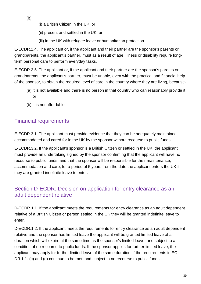(b)

- (i) a British Citizen in the UK; or
- (ii) present and settled in the UK; or
- (iii) in the UK with refugee leave or humanitarian protection.

E-ECDR.2.4. The applicant or, if the applicant and their partner are the sponsor's parents or grandparents, the applicant's partner, must as a result of age, illness or disability require longterm personal care to perform everyday tasks.

E-ECDR.2.5. The applicant or, if the applicant and their partner are the sponsor's parents or grandparents, the applicant's partner, must be unable, even with the practical and financial help of the sponsor, to obtain the required level of care in the country where they are living, because-

- (a) it is not available and there is no person in that country who can reasonably provide it; or
- (b) it is not affordable.

# Financial requirements

E-ECDR.3.1. The applicant must provide evidence that they can be adequately maintained, accommodated and cared for in the UK by the sponsor without recourse to public funds.

E-ECDR.3.2. If the applicant's sponsor is a British Citizen or settled in the UK, the applicant must provide an undertaking signed by the sponsor confirming that the applicant will have no recourse to public funds, and that the sponsor will be responsible for their maintenance, accommodation and care, for a period of 5 years from the date the applicant enters the UK if they are granted indefinite leave to enter.

# Section D-ECDR: Decision on application for entry clearance as an adult dependent relative

D-ECDR.1.1. If the applicant meets the requirements for entry clearance as an adult dependent relative of a British Citizen or person settled in the UK they will be granted indefinite leave to enter.

D-ECDR.1.2. If the applicant meets the requirements for entry clearance as an adult dependent relative and the sponsor has limited leave the applicant will be granted limited leave of a duration which will expire at the same time as the sponsor's limited leave, and subject to a condition of no recourse to public funds. If the sponsor applies for further limited leave, the applicant may apply for further limited leave of the same duration, if the requirements in EC-DR.1.1. (c) and (d) continue to be met, and subject to no recourse to public funds.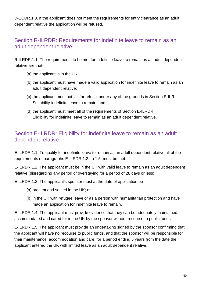D-ECDR.1.3. If the applicant does not meet the requirements for entry clearance as an adult dependent relative the application will be refused.

#### Section R-ILRDR: Requirements for indefinite leave to remain as an adult dependent relative

R-ILRDR.1.1. The requirements to be met for indefinite leave to remain as an adult dependent relative are that-

- (a) the applicant is in the UK;
- (b) the applicant must have made a valid application for indefinite leave to remain as an adult dependent relative;
- (c) the applicant must not fall for refusal under any of the grounds in Section S-ILR: Suitability-indefinite leave to remain; and
- (d) the applicant must meet all of the requirements of Section E-ILRDR: Eligibility for indefinite leave to remain as an adult dependent relative.

#### Section E-ILRDR: Eligibility for indefinite leave to remain as an adult dependent relative

E-ILRDR.1.1. To qualify for indefinite leave to remain as an adult dependent relative all of the requirements of paragraphs E-ILRDR.1.2. to 1.5. must be met.

E-ILRDR.1.2. The applicant must be in the UK with valid leave to remain as an adult dependent relative (disregarding any period of overstaying for a period of 28 days or less).

E-ILRDR.1.3. The applicant's sponsor must at the date of application be

- (a) present and settled in the UK; or
- (b) in the UK with refugee leave or as a person with humanitarian protection and have made an application for indefinite leave to remain.

E-ILRDR.1.4. The applicant must provide evidence that they can be adequately maintained, accommodated and cared for in the UK by the sponsor without recourse to public funds.

E-ILRDR.1.5. The applicant must provide an undertaking signed by the sponsor confirming that the applicant will have no recourse to public funds, and that the sponsor will be responsible for their maintenance, accommodation and care, for a period ending 5 years from the date the applicant entered the UK with limited leave as an adult dependent relative.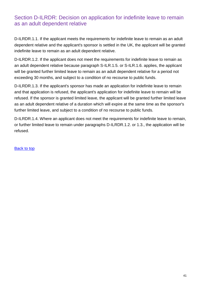#### Section D-ILRDR: Decision on application for indefinite leave to remain as an adult dependent relative

D-ILRDR.1.1. If the applicant meets the requirements for indefinite leave to remain as an adult dependent relative and the applicant's sponsor is settled in the UK, the applicant will be granted indefinite leave to remain as an adult dependent relative.

D-ILRDR.1.2. If the applicant does not meet the requirements for indefinite leave to remain as an adult dependent relative because paragraph S-ILR.1.5. or S-ILR.1.6. applies, the applicant will be granted further limited leave to remain as an adult dependent relative for a period not exceeding 30 months, and subject to a condition of no recourse to public funds.

D-ILRDR.1.3. If the applicant's sponsor has made an application for indefinite leave to remain and that application is refused, the applicant's application for indefinite leave to remain will be refused. If the sponsor is granted limited leave, the applicant will be granted further limited leave as an adult dependent relative of a duration which will expire at the same time as the sponsor's further limited leave, and subject to a condition of no recourse to public funds.

D-ILRDR.1.4. Where an applicant does not meet the requirements for indefinite leave to remain, or further limited leave to remain under paragraphs D-ILRDR.1.2. or 1.3., the application will be refused.

**[Back to top](#page-1-1)**